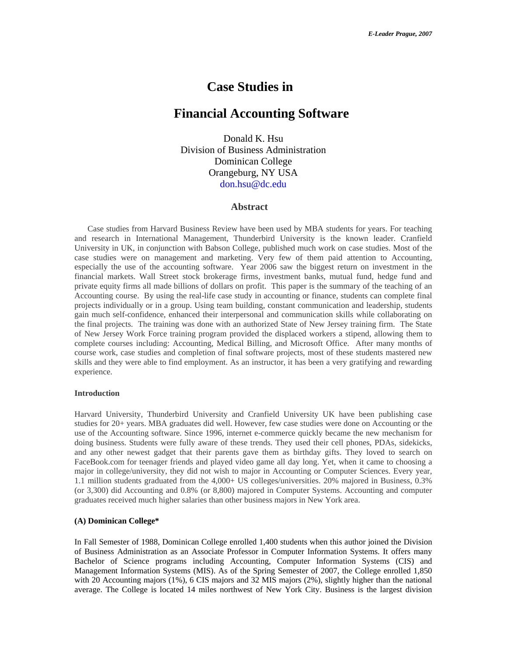# **Case Studies in**

# **Financial Accounting Software**

 Donald K. Hsu Division of Business Administration Dominican College Orangeburg, NY USA don.hsu@dc.edu

## **Abstract**

 Case studies from Harvard Business Review have been used by MBA students for years. For teaching and research in International Management, Thunderbird University is the known leader. Cranfield University in UK, in conjunction with Babson College, published much work on case studies. Most of the case studies were on management and marketing. Very few of them paid attention to Accounting, especially the use of the accounting software. Year 2006 saw the biggest return on investment in the financial markets. Wall Street stock brokerage firms, investment banks, mutual fund, hedge fund and private equity firms all made billions of dollars on profit. This paper is the summary of the teaching of an Accounting course. By using the real-life case study in accounting or finance, students can complete final projects individually or in a group. Using team building, constant communication and leadership, students gain much self-confidence, enhanced their interpersonal and communication skills while collaborating on the final projects. The training was done with an authorized State of New Jersey training firm. The State of New Jersey Work Force training program provided the displaced workers a stipend, allowing them to complete courses including: Accounting, Medical Billing, and Microsoft Office. After many months of course work, case studies and completion of final software projects, most of these students mastered new skills and they were able to find employment. As an instructor, it has been a very gratifying and rewarding experience.

#### **Introduction**

Harvard University, Thunderbird University and Cranfield University UK have been publishing case studies for 20+ years. MBA graduates did well. However, few case studies were done on Accounting or the use of the Accounting software. Since 1996, internet e-commerce quickly became the new mechanism for doing business. Students were fully aware of these trends. They used their cell phones, PDAs, sidekicks, and any other newest gadget that their parents gave them as birthday gifts. They loved to search on FaceBook.com for teenager friends and played video game all day long. Yet, when it came to choosing a major in college/university, they did not wish to major in Accounting or Computer Sciences. Every year, 1.1 million students graduated from the 4,000+ US colleges/universities. 20% majored in Business, 0.3% (or 3,300) did Accounting and 0.8% (or 8,800) majored in Computer Systems. Accounting and computer graduates received much higher salaries than other business majors in New York area.

## **(A) Dominican College\***

In Fall Semester of 1988, Dominican College enrolled 1,400 students when this author joined the Division of Business Administration as an Associate Professor in Computer Information Systems. It offers many Bachelor of Science programs including Accounting, Computer Information Systems (CIS) and Management Information Systems (MIS). As of the Spring Semester of 2007, the College enrolled 1,850 with 20 Accounting majors (1%), 6 CIS majors and 32 MIS majors (2%), slightly higher than the national average. The College is located 14 miles northwest of New York City. Business is the largest division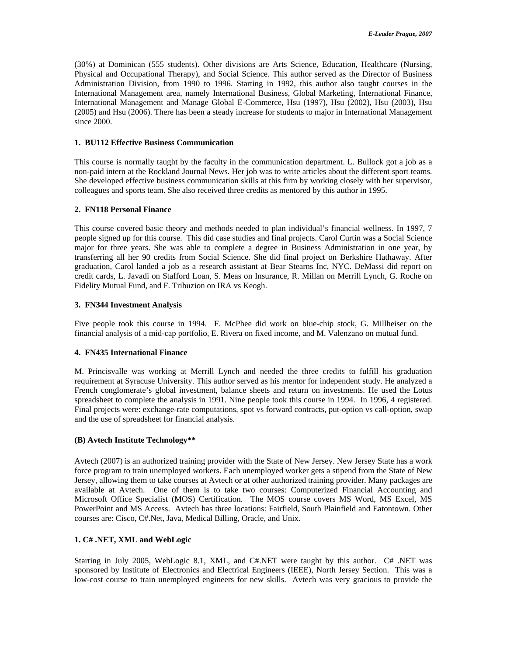(30%) at Dominican (555 students). Other divisions are Arts Science, Education, Healthcare (Nursing, Physical and Occupational Therapy), and Social Science. This author served as the Director of Business Administration Division, from 1990 to 1996. Starting in 1992, this author also taught courses in the International Management area, namely International Business, Global Marketing, International Finance, International Management and Manage Global E-Commerce, Hsu (1997), Hsu (2002), Hsu (2003), Hsu (2005) and Hsu (2006). There has been a steady increase for students to major in International Management since 2000.

## **1. BU112 Effective Business Communication**

This course is normally taught by the faculty in the communication department. L. Bullock got a job as a non-paid intern at the Rockland Journal News. Her job was to write articles about the different sport teams. She developed effective business communication skills at this firm by working closely with her supervisor, colleagues and sports team. She also received three credits as mentored by this author in 1995.

## **2. FN118 Personal Finance**

This course covered basic theory and methods needed to plan individual's financial wellness. In 1997, 7 people signed up for this course. This did case studies and final projects. Carol Curtin was a Social Science major for three years. She was able to complete a degree in Business Administration in one year, by transferring all her 90 credits from Social Science. She did final project on Berkshire Hathaway. After graduation, Carol landed a job as a research assistant at Bear Stearns Inc, NYC. DeMassi did report on credit cards, L. Javadi on Stafford Loan, S. Meas on Insurance, R. Millan on Merrill Lynch, G. Roche on Fidelity Mutual Fund, and F. Tribuzion on IRA vs Keogh.

## **3. FN344 Investment Analysis**

Five people took this course in 1994. F. McPhee did work on blue-chip stock, G. Millheiser on the financial analysis of a mid-cap portfolio, E. Rivera on fixed income, and M. Valenzano on mutual fund.

## **4. FN435 International Finance**

M. Princisvalle was working at Merrill Lynch and needed the three credits to fulfill his graduation requirement at Syracuse University. This author served as his mentor for independent study. He analyzed a French conglomerate's global investment, balance sheets and return on investments. He used the Lotus spreadsheet to complete the analysis in 1991. Nine people took this course in 1994. In 1996, 4 registered. Final projects were: exchange-rate computations, spot vs forward contracts, put-option vs call-option, swap and the use of spreadsheet for financial analysis.

## **(B) Avtech Institute Technology\*\***

Avtech (2007) is an authorized training provider with the State of New Jersey. New Jersey State has a work force program to train unemployed workers. Each unemployed worker gets a stipend from the State of New Jersey, allowing them to take courses at Avtech or at other authorized training provider. Many packages are available at Avtech. One of them is to take two courses: Computerized Financial Accounting and Microsoft Office Specialist (MOS) Certification. The MOS course covers MS Word, MS Excel, MS PowerPoint and MS Access. Avtech has three locations: Fairfield, South Plainfield and Eatontown. Other courses are: Cisco, C#.Net, Java, Medical Billing, Oracle, and Unix.

## **1. C# .NET, XML and WebLogic**

Starting in July 2005, WebLogic 8.1, XML, and C#.NET were taught by this author. C# .NET was sponsored by Institute of Electronics and Electrical Engineers (IEEE), North Jersey Section. This was a low-cost course to train unemployed engineers for new skills. Avtech was very gracious to provide the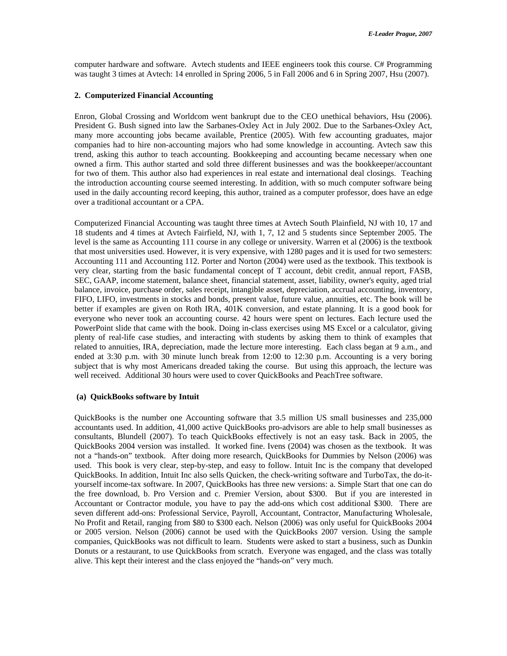computer hardware and software. Avtech students and IEEE engineers took this course. C# Programming was taught 3 times at Avtech: 14 enrolled in Spring 2006, 5 in Fall 2006 and 6 in Spring 2007, Hsu (2007).

## **2. Computerized Financial Accounting**

Enron, Global Crossing and Worldcom went bankrupt due to the CEO unethical behaviors, Hsu (2006). President G. Bush signed into law the Sarbanes-Oxley Act in July 2002. Due to the Sarbanes-Oxley Act, many more accounting jobs became available, Prentice (2005). With few accounting graduates, major companies had to hire non-accounting majors who had some knowledge in accounting. Avtech saw this trend, asking this author to teach accounting. Bookkeeping and accounting became necessary when one owned a firm. This author started and sold three different businesses and was the bookkeeper/accountant for two of them. This author also had experiences in real estate and international deal closings. Teaching the introduction accounting course seemed interesting. In addition, with so much computer software being used in the daily accounting record keeping, this author, trained as a computer professor, does have an edge over a traditional accountant or a CPA.

Computerized Financial Accounting was taught three times at Avtech South Plainfield, NJ with 10, 17 and 18 students and 4 times at Avtech Fairfield, NJ, with 1, 7, 12 and 5 students since September 2005. The level is the same as Accounting 111 course in any college or university. Warren et al (2006) is the textbook that most universities used. However, it is very expensive, with 1280 pages and it is used for two semesters: Accounting 111 and Accounting 112. Porter and Norton (2004) were used as the textbook. This textbook is very clear, starting from the basic fundamental concept of T account, debit credit, annual report, FASB, SEC, GAAP, income statement, balance sheet, financial statement, asset, liability, owner's equity, aged trial balance, invoice, purchase order, sales receipt, intangible asset, depreciation, accrual accounting, inventory, FIFO, LIFO, investments in stocks and bonds, present value, future value, annuities, etc. The book will be better if examples are given on Roth IRA, 401K conversion, and estate planning. It is a good book for everyone who never took an accounting course. 42 hours were spent on lectures. Each lecture used the PowerPoint slide that came with the book. Doing in-class exercises using MS Excel or a calculator, giving plenty of real-life case studies, and interacting with students by asking them to think of examples that related to annuities, IRA, depreciation, made the lecture more interesting. Each class began at 9 a.m., and ended at 3:30 p.m. with 30 minute lunch break from 12:00 to 12:30 p.m. Accounting is a very boring subject that is why most Americans dreaded taking the course. But using this approach, the lecture was well received. Additional 30 hours were used to cover QuickBooks and PeachTree software.

## **(a) QuickBooks software by Intuit**

QuickBooks is the number one Accounting software that 3.5 million US small businesses and 235,000 accountants used. In addition, 41,000 active QuickBooks pro-advisors are able to help small businesses as consultants, Blundell (2007). To teach QuickBooks effectively is not an easy task. Back in 2005, the QuickBooks 2004 version was installed. It worked fine. Ivens (2004) was chosen as the textbook. It was not a "hands-on" textbook. After doing more research, QuickBooks for Dummies by Nelson (2006) was used. This book is very clear, step-by-step, and easy to follow. Intuit Inc is the company that developed QuickBooks. In addition, Intuit Inc also sells Quicken, the check-writing software and TurboTax, the do-ityourself income-tax software. In 2007, QuickBooks has three new versions: a. Simple Start that one can do the free download, b. Pro Version and c. Premier Version, about \$300. But if you are interested in Accountant or Contractor module, you have to pay the add-ons which cost additional \$300. There are seven different add-ons: Professional Service, Payroll, Accountant, Contractor, Manufacturing Wholesale, No Profit and Retail, ranging from \$80 to \$300 each. Nelson (2006) was only useful for QuickBooks 2004 or 2005 version. Nelson (2006) cannot be used with the QuickBooks 2007 version. Using the sample companies, QuickBooks was not difficult to learn. Students were asked to start a business, such as Dunkin Donuts or a restaurant, to use QuickBooks from scratch. Everyone was engaged, and the class was totally alive. This kept their interest and the class enjoyed the "hands-on" very much.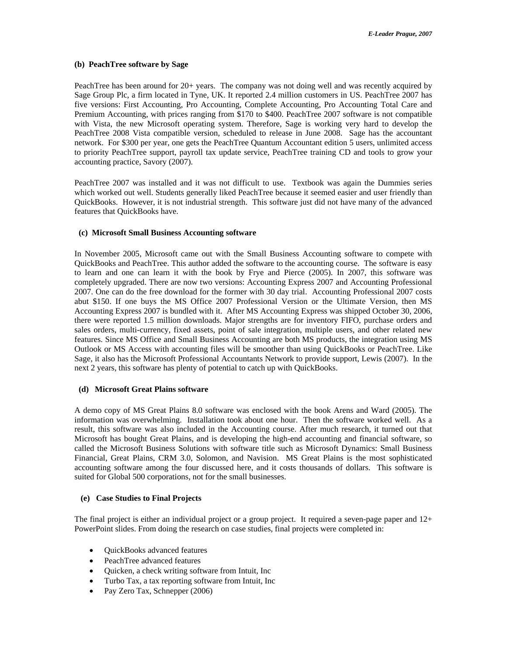#### **(b) PeachTree software by Sage**

PeachTree has been around for 20+ years. The company was not doing well and was recently acquired by Sage Group Plc, a firm located in Tyne, UK. It reported 2.4 million customers in US. PeachTree 2007 has five versions: First Accounting, Pro Accounting, Complete Accounting, Pro Accounting Total Care and Premium Accounting, with prices ranging from \$170 to \$400. PeachTree 2007 software is not compatible with Vista, the new Microsoft operating system. Therefore, Sage is working very hard to develop the PeachTree 2008 Vista compatible version, scheduled to release in June 2008. Sage has the accountant network. For \$300 per year, one gets the PeachTree Quantum Accountant edition 5 users, unlimited access to priority PeachTree support, payroll tax update service, PeachTree training CD and tools to grow your accounting practice, Savory (2007).

PeachTree 2007 was installed and it was not difficult to use. Textbook was again the Dummies series which worked out well. Students generally liked PeachTree because it seemed easier and user friendly than QuickBooks. However, it is not industrial strength. This software just did not have many of the advanced features that QuickBooks have.

## **(c) Microsoft Small Business Accounting software**

In November 2005, Microsoft came out with the Small Business Accounting software to compete with QuickBooks and PeachTree. This author added the software to the accounting course. The software is easy to learn and one can learn it with the book by Frye and Pierce (2005). In 2007, this software was completely upgraded. There are now two versions: Accounting Express 2007 and Accounting Professional 2007. One can do the free download for the former with 30 day trial. Accounting Professional 2007 costs abut \$150. If one buys the MS Office 2007 Professional Version or the Ultimate Version, then MS Accounting Express 2007 is bundled with it. After MS Accounting Express was shipped October 30, 2006, there were reported 1.5 million downloads. Major strengths are for inventory FIFO, purchase orders and sales orders, multi-currency, fixed assets, point of sale integration, multiple users, and other related new features. Since MS Office and Small Business Accounting are both MS products, the integration using MS Outlook or MS Access with accounting files will be smoother than using QuickBooks or PeachTree. Like Sage, it also has the Microsoft Professional Accountants Network to provide support, Lewis (2007). In the next 2 years, this software has plenty of potential to catch up with QuickBooks.

## **(d) Microsoft Great Plains software**

A demo copy of MS Great Plains 8.0 software was enclosed with the book Arens and Ward (2005). The information was overwhelming. Installation took about one hour. Then the software worked well. As a result, this software was also included in the Accounting course. After much research, it turned out that Microsoft has bought Great Plains, and is developing the high-end accounting and financial software, so called the Microsoft Business Solutions with software title such as Microsoft Dynamics: Small Business Financial, Great Plains, CRM 3.0, Solomon, and Navision. MS Great Plains is the most sophisticated accounting software among the four discussed here, and it costs thousands of dollars. This software is suited for Global 500 corporations, not for the small businesses.

#### **(e) Case Studies to Final Projects**

The final project is either an individual project or a group project. It required a seven-page paper and  $12+$ PowerPoint slides. From doing the research on case studies, final projects were completed in:

- QuickBooks advanced features
- PeachTree advanced features
- Ouicken, a check writing software from Intuit, Inc
- Turbo Tax, a tax reporting software from Intuit, Inc
- Pay Zero Tax, Schnepper (2006)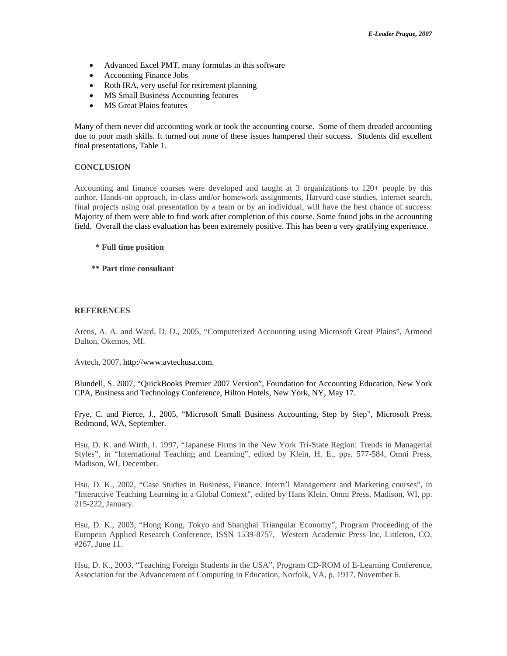- Advanced Excel PMT, many formulas in this software
- Accounting Finance Jobs
- Roth IRA, very useful for retirement planning
- MS Small Business Accounting features
- MS Great Plains features

Many of them never did accounting work or took the accounting course. Some of them dreaded accounting due to poor math skills. It turned out none of these issues hampered their success. Students did excellent final presentations, Table 1.

## **CONCLUSION**

Accounting and finance courses were developed and taught at 3 organizations to 120+ people by this author. Hands-on approach, in-class and/or homework assignments, Harvard case studies, internet search, final projects using oral presentation by a team or by an individual, will have the best chance of success. Majority of them were able to find work after completion of this course. Some found jobs in the accounting field. Overall the class evaluation has been extremely positive. This has been a very gratifying experience.

- **\* Full time position**
- **\*\* Part time consultant**

## **REFERENCES**

Arens, A. A. and Ward, D. D., 2005, "Computerized Accounting using Microsoft Great Plains", Armond Dalton, Okemos, MI.

Avtech, 2007, http://www.avtechusa.com.

Blundell, S. 2007, "QuickBooks Premier 2007 Version", Foundation for Accounting Education, New York CPA, Business and Technology Conference, Hilton Hotels, New York, NY, May 17.

Frye, C. and Pierce, J., 2005, "Microsoft Small Business Accounting, Step by Step", Microsoft Press, Redmond, WA, September.

Hsu, D. K. and Wirth, I. 1997, "Japanese Firms in the New York Tri-State Region: Trends in Managerial Styles", in "International Teaching and Learning", edited by Klein, H. E., pps. 577-584, Omni Press, Madison, WI, December.

Hsu, D. K., 2002, "Case Studies in Business, Finance, Intern'l Management and Marketing courses", in "Interactive Teaching Learning in a Global Context", edited by Hans Klein, Omni Press, Madison, WI, pp. 215-222, January.

Hsu, D. K., 2003, "Hong Kong, Tokyo and Shanghai Triangular Economy", Program Proceeding of the European Applied Research Conference, ISSN 1539-8757, Western Academic Press Inc, Littleton, CO, #267, June 11.

Hsu, D. K., 2003, "Teaching Foreign Students in the USA", Program CD-ROM of E-Learning Conference, Association for the Advancement of Computing in Education, Norfolk, VA, p. 1917, November 6.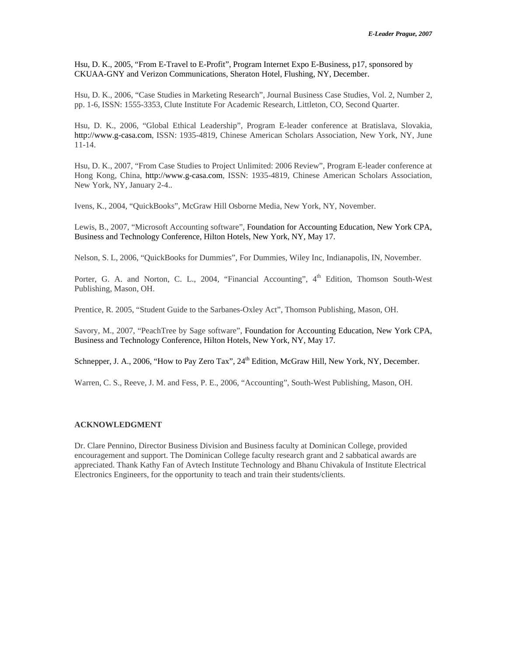Hsu, D. K., 2005, "From E-Travel to E-Profit", Program Internet Expo E-Business, p17, sponsored by CKUAA-GNY and Verizon Communications, Sheraton Hotel, Flushing, NY, December.

Hsu, D. K., 2006, "Case Studies in Marketing Research", Journal Business Case Studies, Vol. 2, Number 2, pp. 1-6, ISSN: 1555-3353, Clute Institute For Academic Research, Littleton, CO, Second Quarter.

Hsu, D. K., 2006, "Global Ethical Leadership", Program E-leader conference at Bratislava, Slovakia, http://www.g-casa.com, ISSN: 1935-4819, Chinese American Scholars Association, New York, NY, June 11-14.

Hsu, D. K., 2007, "From Case Studies to Project Unlimited: 2006 Review", Program E-leader conference at Hong Kong, China, http://www.g-casa.com, ISSN: 1935-4819, Chinese American Scholars Association, New York, NY, January 2-4..

Ivens, K., 2004, "QuickBooks", McGraw Hill Osborne Media, New York, NY, November.

Lewis, B., 2007, "Microsoft Accounting software", Foundation for Accounting Education, New York CPA, Business and Technology Conference, Hilton Hotels, New York, NY, May 17.

Nelson, S. L, 2006, "QuickBooks for Dummies", For Dummies, Wiley Inc, Indianapolis, IN, November.

Porter, G. A. and Norton, C. L., 2004, "Financial Accounting", 4<sup>th</sup> Edition, Thomson South-West Publishing, Mason, OH.

Prentice, R. 2005, "Student Guide to the Sarbanes-Oxley Act", Thomson Publishing, Mason, OH.

Savory, M., 2007, "PeachTree by Sage software", Foundation for Accounting Education, New York CPA, Business and Technology Conference, Hilton Hotels, New York, NY, May 17.

Schnepper, J. A., 2006, "How to Pay Zero Tax", 24<sup>th</sup> Edition, McGraw Hill, New York, NY, December.

Warren, C. S., Reeve, J. M. and Fess, P. E., 2006, "Accounting", South-West Publishing, Mason, OH.

## **ACKNOWLEDGMENT**

Dr. Clare Pennino, Director Business Division and Business faculty at Dominican College, provided encouragement and support. The Dominican College faculty research grant and 2 sabbatical awards are appreciated. Thank Kathy Fan of Avtech Institute Technology and Bhanu Chivakula of Institute Electrical Electronics Engineers, for the opportunity to teach and train their students/clients.